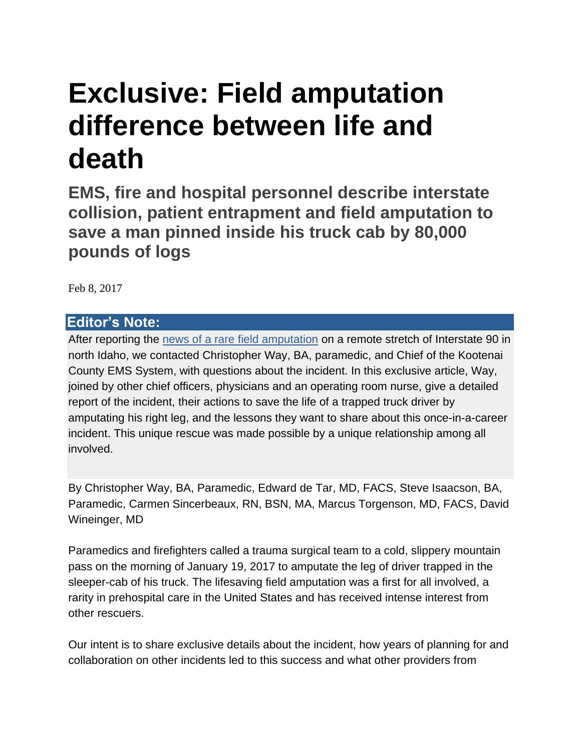# **Exclusive: Field amputation difference between life and death**

**EMS, fire and hospital personnel describe interstate collision, patient entrapment and field amputation to save a man pinned inside his truck cab by 80,000 pounds of logs**

Feb 8, 2017

# **Editor's Note:**

After reporting the [news of a rare field amputation](https://www.ems1.com/vehicle-crashes/articles/185434048-Surgical-team-performs-leg-amputation-at-multi-vehicle-crash-scene/) on a remote stretch of Interstate 90 in north Idaho, we contacted Christopher Way, BA, paramedic, and Chief of the Kootenai County EMS System, with questions about the incident. In this exclusive article, Way, joined by other chief officers, physicians and an operating room nurse, give a detailed report of the incident, their actions to save the life of a trapped truck driver by amputating his right leg, and the lessons they want to share about this once-in-a-career incident. This unique rescue was made possible by a unique relationship among all involved.

By Christopher Way, BA, Paramedic, Edward de Tar, MD, FACS, Steve Isaacson, BA, Paramedic, Carmen Sincerbeaux, RN, BSN, MA, Marcus Torgenson, MD, FACS, David Wineinger, MD

Paramedics and firefighters called a trauma surgical team to a cold, slippery mountain pass on the morning of January 19, 2017 to amputate the leg of driver trapped in the sleeper-cab of his truck. The lifesaving field amputation was a first for all involved, a rarity in prehospital care in the United States and has received intense interest from other rescuers.

Our intent is to share exclusive details about the incident, how years of planning for and collaboration on other incidents led to this success and what other providers from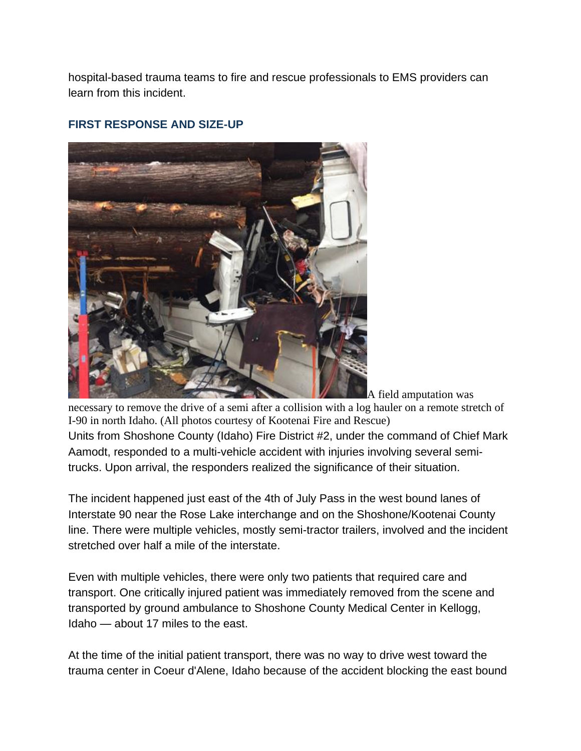hospital-based trauma teams to fire and rescue professionals to EMS providers can learn from this incident.

#### **FIRST RESPONSE AND SIZE-UP**



A field amputation was necessary to remove the drive of a semi after a collision with a log hauler on a remote stretch of I-90 in north Idaho. (All photos courtesy of Kootenai Fire and Rescue) Units from Shoshone County (Idaho) Fire District #2, under the command of Chief Mark Aamodt, responded to a multi-vehicle accident with injuries involving several semitrucks. Upon arrival, the responders realized the significance of their situation.

The incident happened just east of the 4th of July Pass in the west bound lanes of Interstate 90 near the Rose Lake interchange and on the Shoshone/Kootenai County line. There were multiple vehicles, mostly semi-tractor trailers, involved and the incident stretched over half a mile of the interstate.

Even with multiple vehicles, there were only two patients that required care and transport. One critically injured patient was immediately removed from the scene and transported by ground ambulance to Shoshone County Medical Center in Kellogg, Idaho — about 17 miles to the east.

At the time of the initial patient transport, there was no way to drive west toward the trauma center in Coeur d'Alene, Idaho because of the accident blocking the east bound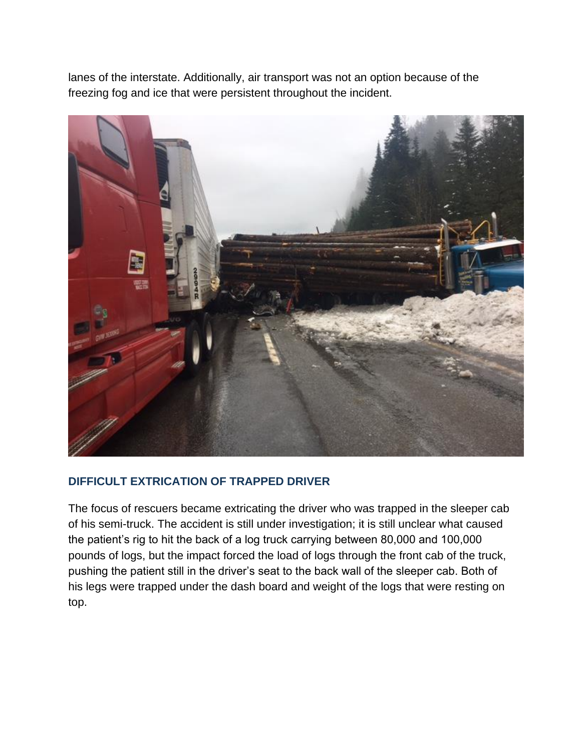lanes of the interstate. Additionally, air transport was not an option because of the freezing fog and ice that were persistent throughout the incident.



#### **DIFFICULT EXTRICATION OF TRAPPED DRIVER**

The focus of rescuers became extricating the driver who was trapped in the sleeper cab of his semi-truck. The accident is still under investigation; it is still unclear what caused the patient's rig to hit the back of a log truck carrying between 80,000 and 100,000 pounds of logs, but the impact forced the load of logs through the front cab of the truck, pushing the patient still in the driver's seat to the back wall of the sleeper cab. Both of his legs were trapped under the dash board and weight of the logs that were resting on top.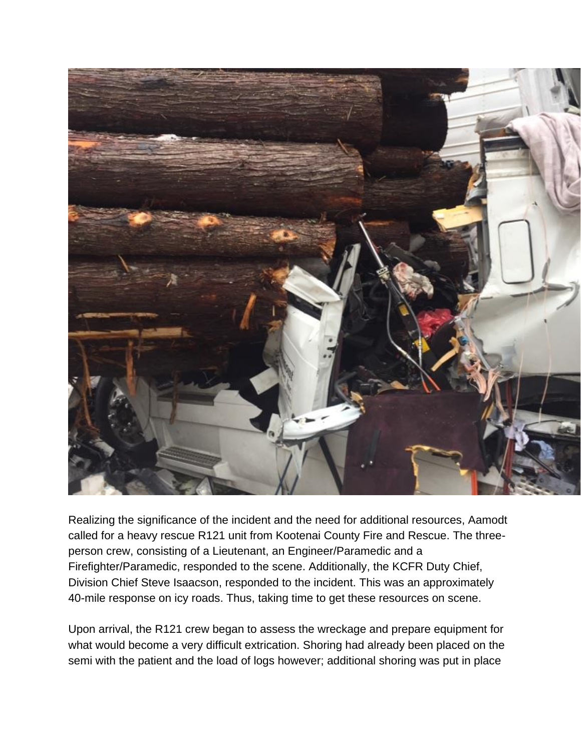

Realizing the significance of the incident and the need for additional resources, Aamodt called for a heavy rescue R121 unit from Kootenai County Fire and Rescue. The threeperson crew, consisting of a Lieutenant, an Engineer/Paramedic and a Firefighter/Paramedic, responded to the scene. Additionally, the KCFR Duty Chief, Division Chief Steve Isaacson, responded to the incident. This was an approximately 40-mile response on icy roads. Thus, taking time to get these resources on scene.

Upon arrival, the R121 crew began to assess the wreckage and prepare equipment for what would become a very difficult extrication. Shoring had already been placed on the semi with the patient and the load of logs however; additional shoring was put in place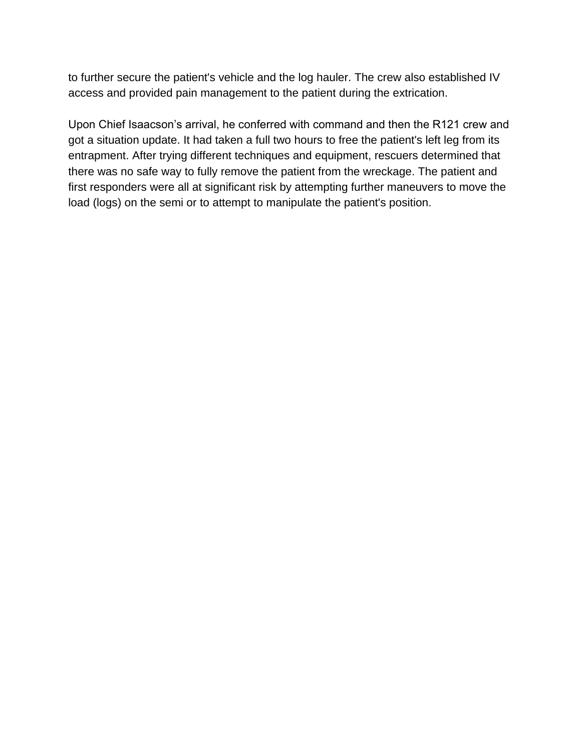to further secure the patient's vehicle and the log hauler. The crew also established IV access and provided pain management to the patient during the extrication.

Upon Chief Isaacson's arrival, he conferred with command and then the R121 crew and got a situation update. It had taken a full two hours to free the patient's left leg from its entrapment. After trying different techniques and equipment, rescuers determined that there was no safe way to fully remove the patient from the wreckage. The patient and first responders were all at significant risk by attempting further maneuvers to move the load (logs) on the semi or to attempt to manipulate the patient's position.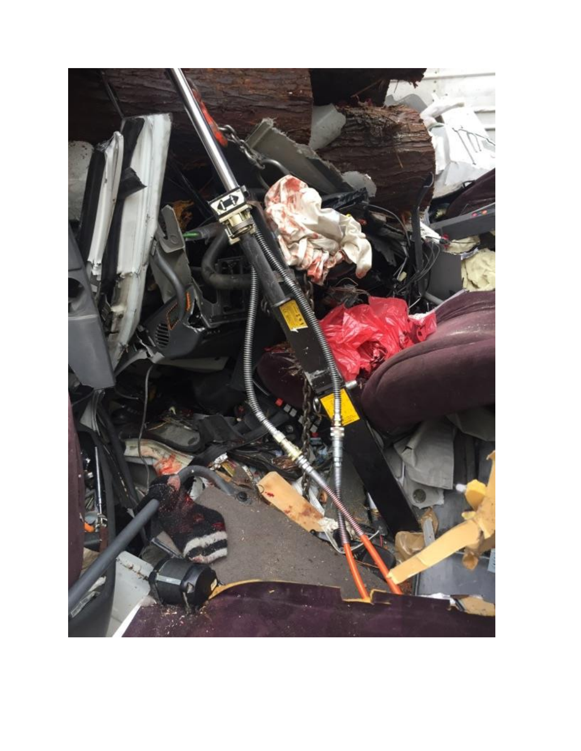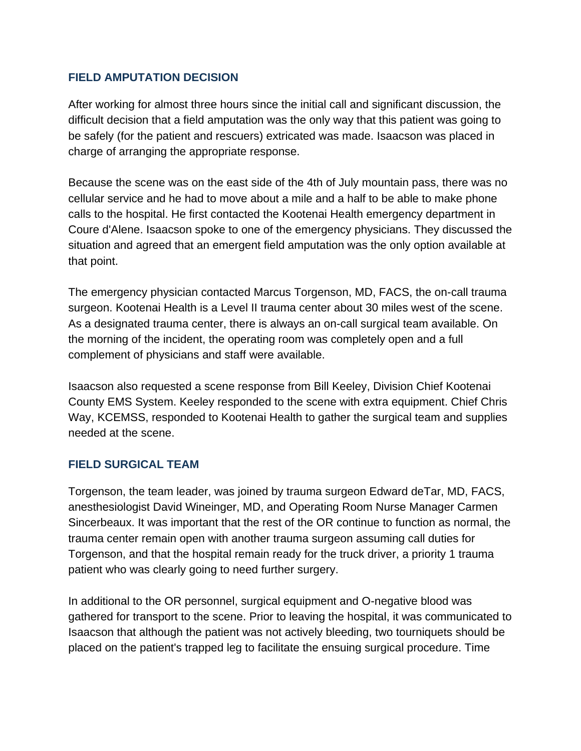# **FIELD AMPUTATION DECISION**

After working for almost three hours since the initial call and significant discussion, the difficult decision that a field amputation was the only way that this patient was going to be safely (for the patient and rescuers) extricated was made. Isaacson was placed in charge of arranging the appropriate response.

Because the scene was on the east side of the 4th of July mountain pass, there was no cellular service and he had to move about a mile and a half to be able to make phone calls to the hospital. He first contacted the Kootenai Health emergency department in Coure d'Alene. Isaacson spoke to one of the emergency physicians. They discussed the situation and agreed that an emergent field amputation was the only option available at that point.

The emergency physician contacted Marcus Torgenson, MD, FACS, the on-call trauma surgeon. Kootenai Health is a Level II trauma center about 30 miles west of the scene. As a designated trauma center, there is always an on-call surgical team available. On the morning of the incident, the operating room was completely open and a full complement of physicians and staff were available.

Isaacson also requested a scene response from Bill Keeley, Division Chief Kootenai County EMS System. Keeley responded to the scene with extra equipment. Chief Chris Way, KCEMSS, responded to Kootenai Health to gather the surgical team and supplies needed at the scene.

#### **FIELD SURGICAL TEAM**

Torgenson, the team leader, was joined by trauma surgeon Edward deTar, MD, FACS, anesthesiologist David Wineinger, MD, and Operating Room Nurse Manager Carmen Sincerbeaux. It was important that the rest of the OR continue to function as normal, the trauma center remain open with another trauma surgeon assuming call duties for Torgenson, and that the hospital remain ready for the truck driver, a priority 1 trauma patient who was clearly going to need further surgery.

In additional to the OR personnel, surgical equipment and O-negative blood was gathered for transport to the scene. Prior to leaving the hospital, it was communicated to Isaacson that although the patient was not actively bleeding, two tourniquets should be placed on the patient's trapped leg to facilitate the ensuing surgical procedure. Time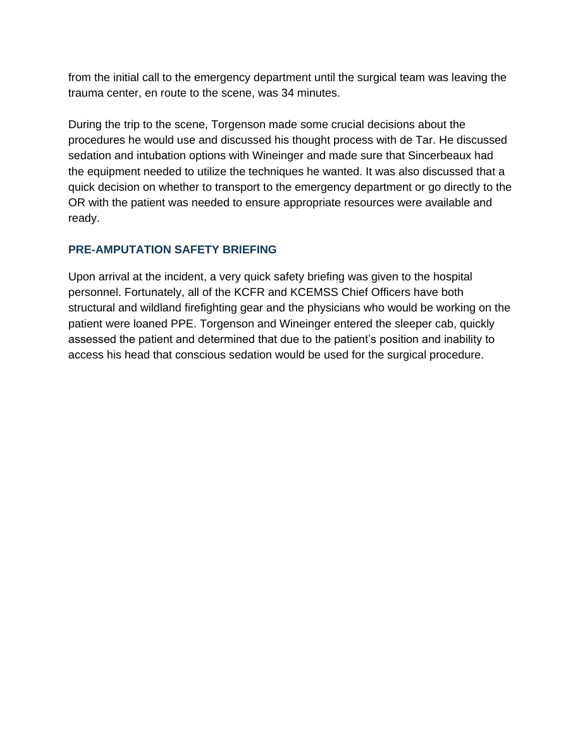from the initial call to the emergency department until the surgical team was leaving the trauma center, en route to the scene, was 34 minutes.

During the trip to the scene, Torgenson made some crucial decisions about the procedures he would use and discussed his thought process with de Tar. He discussed sedation and intubation options with Wineinger and made sure that Sincerbeaux had the equipment needed to utilize the techniques he wanted. It was also discussed that a quick decision on whether to transport to the emergency department or go directly to the OR with the patient was needed to ensure appropriate resources were available and ready.

# **PRE-AMPUTATION SAFETY BRIEFING**

Upon arrival at the incident, a very quick safety briefing was given to the hospital personnel. Fortunately, all of the KCFR and KCEMSS Chief Officers have both structural and wildland firefighting gear and the physicians who would be working on the patient were loaned PPE. Torgenson and Wineinger entered the sleeper cab, quickly assessed the patient and determined that due to the patient's position and inability to access his head that conscious sedation would be used for the surgical procedure.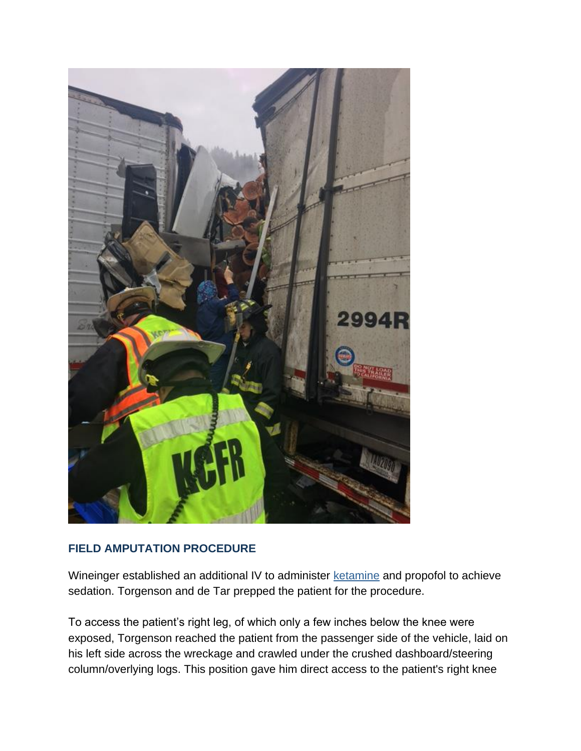

# **FIELD AMPUTATION PROCEDURE**

Wineinger established an additional IV to administer [ketamine](https://www.ems1.com/ems-products/narcotics-safes/articles/3031532-Ketamine-Drug-Whys/) and propofol to achieve sedation. Torgenson and de Tar prepped the patient for the procedure.

To access the patient's right leg, of which only a few inches below the knee were exposed, Torgenson reached the patient from the passenger side of the vehicle, laid on his left side across the wreckage and crawled under the crushed dashboard/steering column/overlying logs. This position gave him direct access to the patient's right knee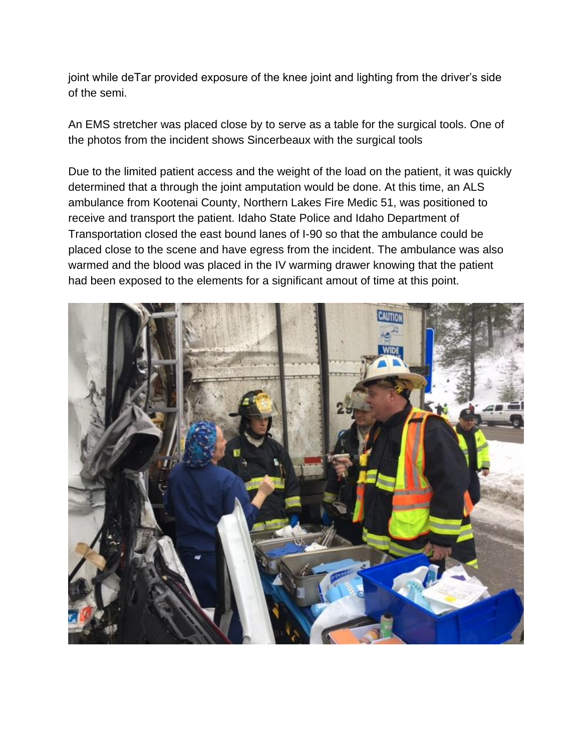joint while deTar provided exposure of the knee joint and lighting from the driver's side of the semi.

An EMS stretcher was placed close by to serve as a table for the surgical tools. One of the photos from the incident shows Sincerbeaux with the surgical tools

Due to the limited patient access and the weight of the load on the patient, it was quickly determined that a through the joint amputation would be done. At this time, an ALS ambulance from Kootenai County, Northern Lakes Fire Medic 51, was positioned to receive and transport the patient. Idaho State Police and Idaho Department of Transportation closed the east bound lanes of I-90 so that the ambulance could be placed close to the scene and have egress from the incident. The ambulance was also warmed and the blood was placed in the IV warming drawer knowing that the patient had been exposed to the elements for a significant amout of time at this point.

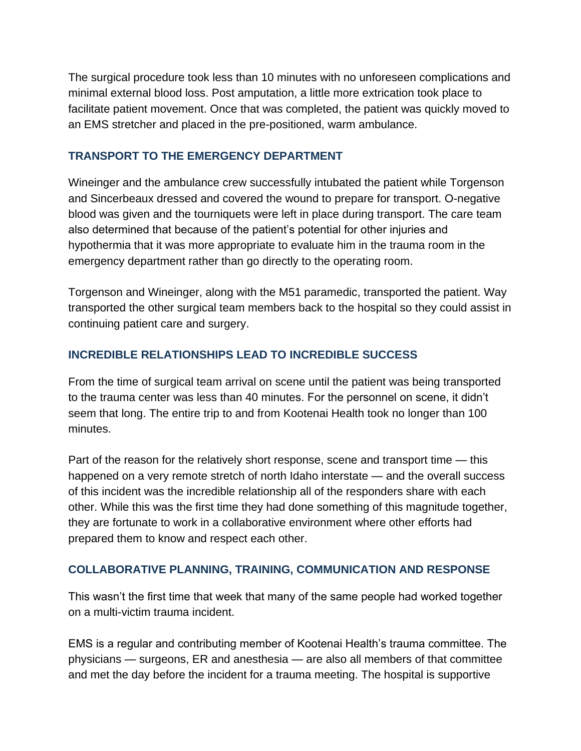The surgical procedure took less than 10 minutes with no unforeseen complications and minimal external blood loss. Post amputation, a little more extrication took place to facilitate patient movement. Once that was completed, the patient was quickly moved to an EMS stretcher and placed in the pre-positioned, warm ambulance.

# **TRANSPORT TO THE EMERGENCY DEPARTMENT**

Wineinger and the ambulance crew successfully intubated the patient while Torgenson and Sincerbeaux dressed and covered the wound to prepare for transport. O-negative blood was given and the tourniquets were left in place during transport. The care team also determined that because of the patient's potential for other injuries and hypothermia that it was more appropriate to evaluate him in the trauma room in the emergency department rather than go directly to the operating room.

Torgenson and Wineinger, along with the M51 paramedic, transported the patient. Way transported the other surgical team members back to the hospital so they could assist in continuing patient care and surgery.

# **INCREDIBLE RELATIONSHIPS LEAD TO INCREDIBLE SUCCESS**

From the time of surgical team arrival on scene until the patient was being transported to the trauma center was less than 40 minutes. For the personnel on scene, it didn't seem that long. The entire trip to and from Kootenai Health took no longer than 100 minutes.

Part of the reason for the relatively short response, scene and transport time — this happened on a very remote stretch of north Idaho interstate — and the overall success of this incident was the incredible relationship all of the responders share with each other. While this was the first time they had done something of this magnitude together, they are fortunate to work in a collaborative environment where other efforts had prepared them to know and respect each other.

# **COLLABORATIVE PLANNING, TRAINING, COMMUNICATION AND RESPONSE**

This wasn't the first time that week that many of the same people had worked together on a multi-victim trauma incident.

EMS is a regular and contributing member of Kootenai Health's trauma committee. The physicians — surgeons, ER and anesthesia — are also all members of that committee and met the day before the incident for a trauma meeting. The hospital is supportive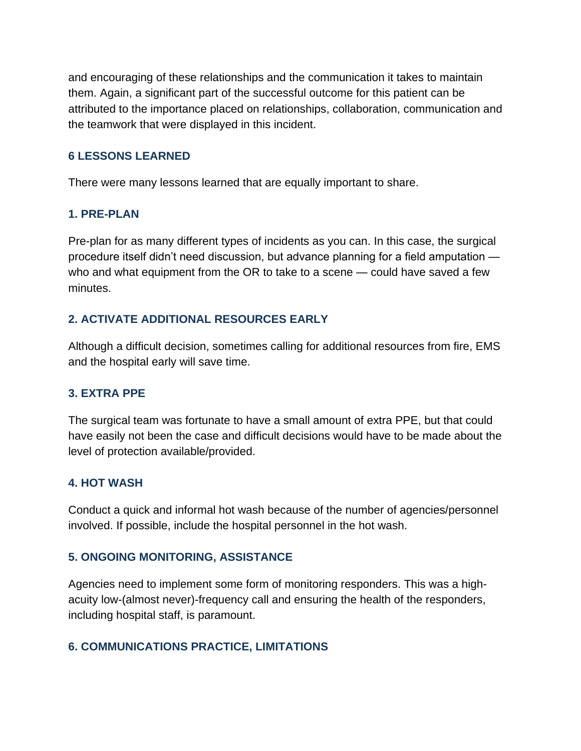and encouraging of these relationships and the communication it takes to maintain them. Again, a significant part of the successful outcome for this patient can be attributed to the importance placed on relationships, collaboration, communication and the teamwork that were displayed in this incident.

# **6 LESSONS LEARNED**

There were many lessons learned that are equally important to share.

#### **1. PRE-PLAN**

Pre-plan for as many different types of incidents as you can. In this case, the surgical procedure itself didn't need discussion, but advance planning for a field amputation who and what equipment from the OR to take to a scene — could have saved a few minutes.

# **2. ACTIVATE ADDITIONAL RESOURCES EARLY**

Although a difficult decision, sometimes calling for additional resources from fire, EMS and the hospital early will save time.

#### **3. EXTRA PPE**

The surgical team was fortunate to have a small amount of extra PPE, but that could have easily not been the case and difficult decisions would have to be made about the level of protection available/provided.

#### **4. HOT WASH**

Conduct a quick and informal hot wash because of the number of agencies/personnel involved. If possible, include the hospital personnel in the hot wash.

# **5. ONGOING MONITORING, ASSISTANCE**

Agencies need to implement some form of monitoring responders. This was a highacuity low-(almost never)-frequency call and ensuring the health of the responders, including hospital staff, is paramount.

# **6. COMMUNICATIONS PRACTICE, LIMITATIONS**